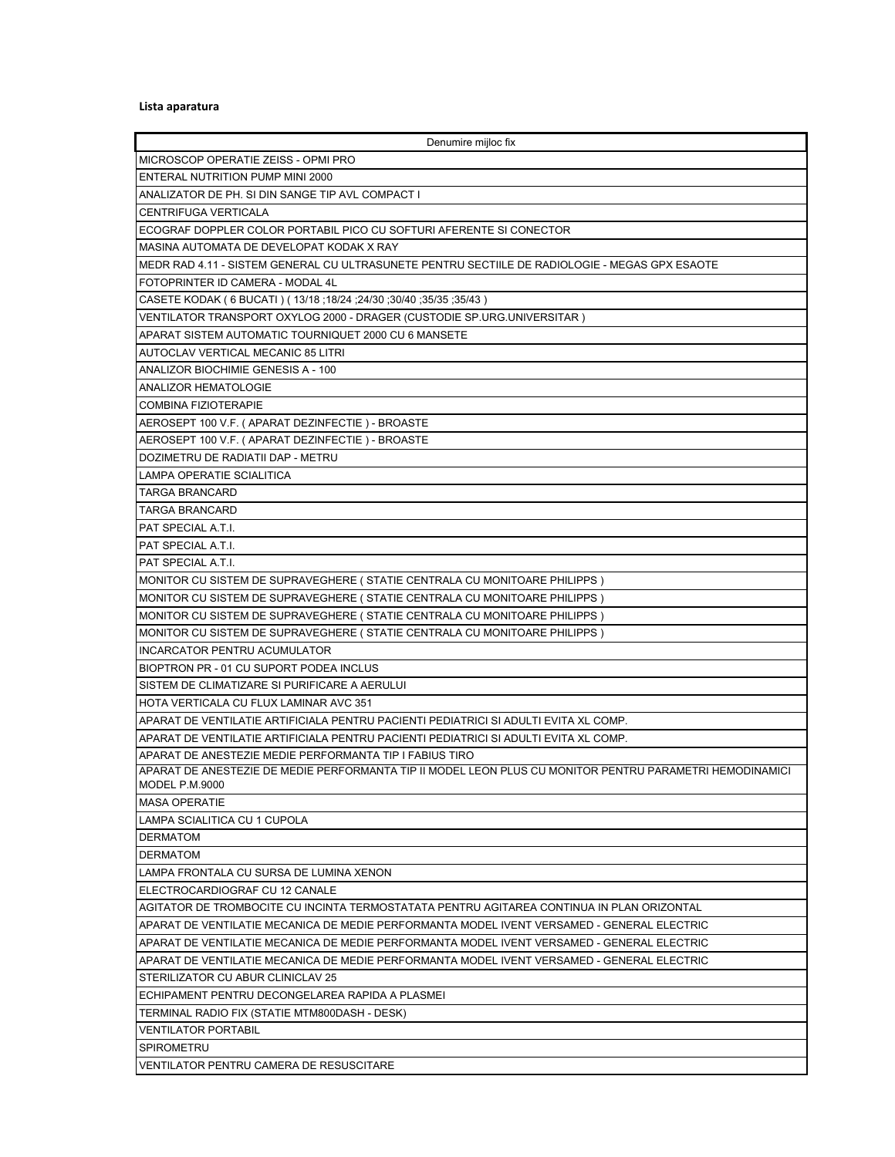## **Lista aparatura**

| Denumire mijloc fix                                                                                      |
|----------------------------------------------------------------------------------------------------------|
| MICROSCOP OPERATIE ZEISS - OPMI PRO                                                                      |
| <b>ENTERAL NUTRITION PUMP MINI 2000</b>                                                                  |
| ANALIZATOR DE PH. SI DIN SANGE TIP AVL COMPACT I                                                         |
| CENTRIFUGA VERTICALA                                                                                     |
| ECOGRAF DOPPLER COLOR PORTABIL PICO CU SOFTURI AFERENTE SI CONECTOR                                      |
| MASINA AUTOMATA DE DEVELOPAT KODAK X RAY                                                                 |
| MEDR RAD 4.11 - SISTEM GENERAL CU ULTRASUNETE PENTRU SECTIILE DE RADIOLOGIE - MEGAS GPX ESAOTE           |
| FOTOPRINTER ID CAMERA - MODAL 4L                                                                         |
| (35/35; 35/35; 30/40; 24/30; 18/24; 18/24; 18/24 ) CASETE KODAK ( 6 BUCATI ) (                           |
| VENTILATOR TRANSPORT OXYLOG 2000 - DRAGER (CUSTODIE SP.URG.UNIVERSITAR )                                 |
| APARAT SISTEM AUTOMATIC TOURNIQUET 2000 CU 6 MANSETE                                                     |
| AUTOCLAV VERTICAL MECANIC 85 LITRI                                                                       |
| ANALIZOR BIOCHIMIE GENESIS A - 100                                                                       |
|                                                                                                          |
| <b>ANALIZOR HEMATOLOGIE</b>                                                                              |
| <b>COMBINA FIZIOTERAPIE</b>                                                                              |
| AEROSEPT 100 V.F. (APARAT DEZINFECTIE) - BROASTE                                                         |
| AEROSEPT 100 V.F. (APARAT DEZINFECTIE) - BROASTE                                                         |
| DOZIMETRU DE RADIATII DAP - METRU                                                                        |
| LAMPA OPERATIE SCIALITICA                                                                                |
| TARGA BRANCARD                                                                                           |
| <b>TARGA BRANCARD</b>                                                                                    |
| PAT SPECIAL A.T.I.                                                                                       |
| PAT SPECIAL A.T.I.                                                                                       |
| PAT SPECIAL A.T.I.                                                                                       |
| MONITOR CU SISTEM DE SUPRAVEGHERE ( STATIE CENTRALA CU MONITOARE PHILIPPS )                              |
| MONITOR CU SISTEM DE SUPRAVEGHERE (STATIE CENTRALA CU MONITOARE PHILIPPS)                                |
| MONITOR CU SISTEM DE SUPRAVEGHERE (STATIE CENTRALA CU MONITOARE PHILIPPS)                                |
| MONITOR CU SISTEM DE SUPRAVEGHERE (STATIE CENTRALA CU MONITOARE PHILIPPS)                                |
| INCARCATOR PENTRU ACUMULATOR                                                                             |
| BIOPTRON PR - 01 CU SUPORT PODEA INCLUS                                                                  |
| SISTEM DE CLIMATIZARE SI PURIFICARE A AERULUI                                                            |
| HOTA VERTICALA CU FLUX LAMINAR AVC 351                                                                   |
| APARAT DE VENTILATIE ARTIFICIALA PENTRU PACIENTI PEDIATRICI SI ADULTI EVITA XL COMP.                     |
| APARAT DE VENTILATIE ARTIFICIALA PENTRU PACIENTI PEDIATRICI SI ADULTI EVITA XL COMP.                     |
| APARAT DE ANESTEZIE MEDIE PERFORMANTA TIP I FABIUS TIRO                                                  |
| APARAT DE ANESTEZIE DE MEDIE PERFORMANTA TIP II MODEL LEON PLUS CU MONITOR PENTRU PARAMETRI HEMODINAMICI |
| MODEL P.M.9000                                                                                           |
| <b>MASA OPERATIE</b>                                                                                     |
| <b>LAMPA SCIALITICA CU 1 CUPOLA</b>                                                                      |
| <b>DERMATOM</b>                                                                                          |
| <b>DERMATOM</b>                                                                                          |
| LAMPA FRONTALA CU SURSA DE LUMINA XENON                                                                  |
| ELECTROCARDIOGRAF CU 12 CANALE                                                                           |
| AGITATOR DE TROMBOCITE CU INCINTA TERMOSTATATA PENTRU AGITAREA CONTINUA IN PLAN ORIZONTAL                |
| APARAT DE VENTILATIE MECANICA DE MEDIE PERFORMANTA MODEL IVENT VERSAMED - GENERAL ELECTRIC               |
| APARAT DE VENTILATIE MECANICA DE MEDIE PERFORMANTA MODEL IVENT VERSAMED - GENERAL ELECTRIC               |
| APARAT DE VENTILATIE MECANICA DE MEDIE PERFORMANTA MODEL IVENT VERSAMED - GENERAL ELECTRIC               |
| STERILIZATOR CU ABUR CLINICLAV 25                                                                        |
| ECHIPAMENT PENTRU DECONGELAREA RAPIDA A PLASMEI                                                          |
| TERMINAL RADIO FIX (STATIE MTM800DASH - DESK)                                                            |
| VENTILATOR PORTABIL                                                                                      |
| SPIROMETRU                                                                                               |
| VENTILATOR PENTRU CAMERA DE RESUSCITARE                                                                  |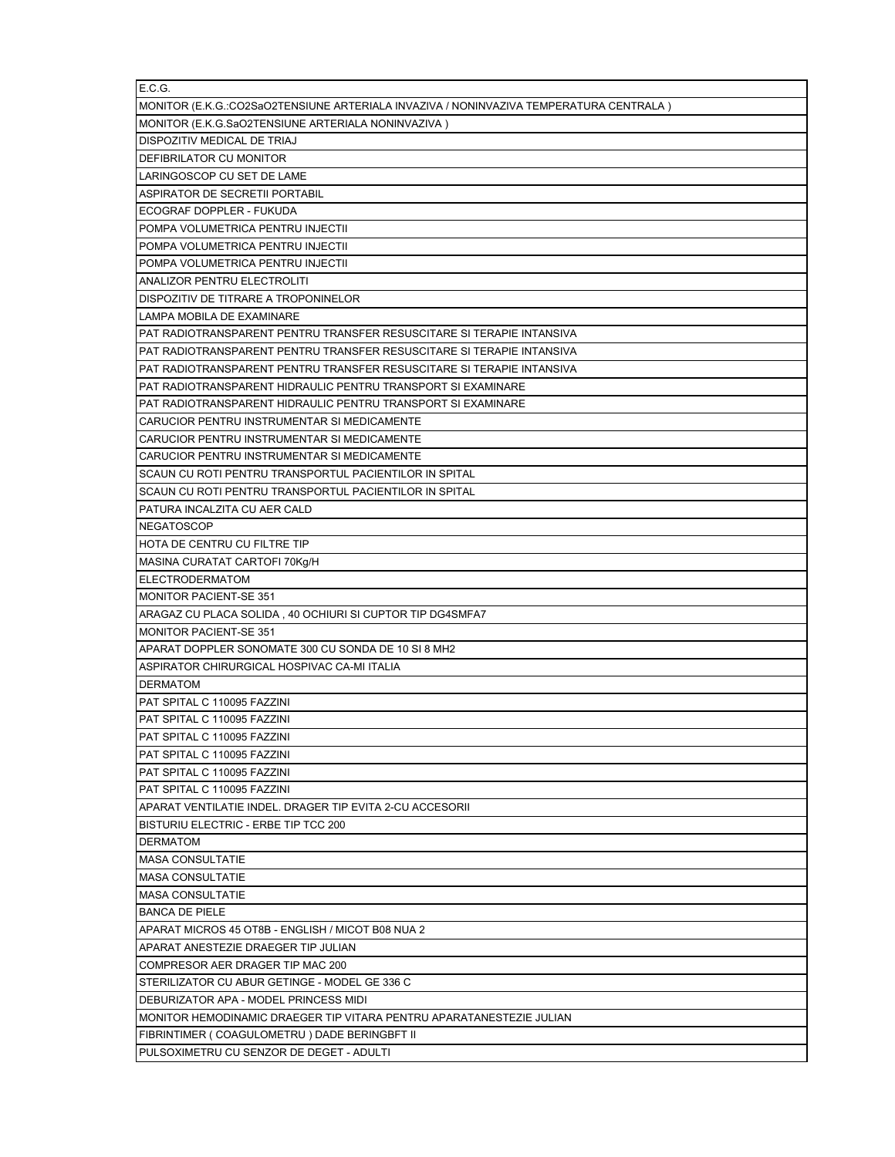| E.C.G.                                                                                 |
|----------------------------------------------------------------------------------------|
| MONITOR (E.K.G.:CO2SaO2TENSIUNE ARTERIALA INVAZIVA / NONINVAZIVA TEMPERATURA CENTRALA) |
| MONITOR (E.K.G.SaO2TENSIUNE ARTERIALA NONINVAZIVA)                                     |
| DISPOZITIV MEDICAL DE TRIAJ                                                            |
| DEFIBRILATOR CU MONITOR                                                                |
| LARINGOSCOP CU SET DE LAME                                                             |
| ASPIRATOR DE SECRETII PORTABIL                                                         |
| ECOGRAF DOPPLER - FUKUDA                                                               |
| POMPA VOLUMETRICA PENTRU INJECTII                                                      |
| POMPA VOLUMETRICA PENTRU INJECTII                                                      |
| POMPA VOLUMETRICA PENTRU INJECTII                                                      |
| ANALIZOR PENTRU ELECTROLITI                                                            |
| DISPOZITIV DE TITRARE A TROPONINELOR                                                   |
| LAMPA MOBILA DE EXAMINARE                                                              |
| PAT RADIOTRANSPARENT PENTRU TRANSFER RESUSCITARE SI TERAPIE INTANSIVA                  |
| PAT RADIOTRANSPARENT PENTRU TRANSFER RESUSCITARE SI TERAPIE INTANSIVA                  |
| PAT RADIOTRANSPARENT PENTRU TRANSFER RESUSCITARE SI TERAPIE INTANSIVA                  |
| PAT RADIOTRANSPARENT HIDRAULIC PENTRU TRANSPORT SI EXAMINARE                           |
| PAT RADIOTRANSPARENT HIDRAULIC PENTRU TRANSPORT SI EXAMINARE                           |
| CARUCIOR PENTRU INSTRUMENTAR SI MEDICAMENTE                                            |
| CARUCIOR PENTRU INSTRUMENTAR SI MEDICAMENTE                                            |
| CARUCIOR PENTRU INSTRUMENTAR SI MEDICAMENTE                                            |
| SCAUN CU ROTI PENTRU TRANSPORTUL PACIENTILOR IN SPITAL                                 |
| SCAUN CU ROTI PENTRU TRANSPORTUL PACIENTILOR IN SPITAL                                 |
| PATURA INCALZITA CU AER CALD                                                           |
| <b>NEGATOSCOP</b>                                                                      |
| HOTA DE CENTRU CU FILTRE TIP                                                           |
| MASINA CURATAT CARTOFI 70Kg/H                                                          |
| ELECTRODERMATOM                                                                        |
| <b>MONITOR PACIENT-SE 351</b>                                                          |
| ARAGAZ CU PLACA SOLIDA, 40 OCHIURI SI CUPTOR TIP DG4SMFA7                              |
| <b>MONITOR PACIENT-SE 351</b>                                                          |
| APARAT DOPPLER SONOMATE 300 CU SONDA DE 10 SI 8 MH2                                    |
| ASPIRATOR CHIRURGICAL HOSPIVAC CA-MI ITALIA                                            |
| <b>DERMATOM</b>                                                                        |
| PAT SPITAL C 110095 FAZZINI                                                            |
| PAT SPITAL C 110095 FAZZINI                                                            |
| PAT SPITAL C 110095 FAZZINI                                                            |
| PAT SPITAL C 110095 FAZZINI                                                            |
| PAT SPITAL C 110095 FAZZINI                                                            |
| PAT SPITAL C 110095 FAZZINI                                                            |
| APARAT VENTILATIE INDEL. DRAGER TIP EVITA 2-CU ACCESORII                               |
| BISTURIU ELECTRIC - ERBE TIP TCC 200                                                   |
| <b>DERMATOM</b>                                                                        |
| <b>MASA CONSULTATIE</b>                                                                |
|                                                                                        |
| <b>MASA CONSULTATIE</b>                                                                |
| <b>MASA CONSULTATIE</b>                                                                |
| <b>BANCA DE PIELE</b>                                                                  |
| APARAT MICROS 45 OT8B - ENGLISH / MICOT B08 NUA 2                                      |
| APARAT ANESTEZIE DRAEGER TIP JULIAN                                                    |
| COMPRESOR AER DRAGER TIP MAC 200                                                       |
| STERILIZATOR CU ABUR GETINGE - MODEL GE 336 C                                          |
| DEBURIZATOR APA - MODEL PRINCESS MIDI                                                  |
| MONITOR HEMODINAMIC DRAEGER TIP VITARA PENTRU APARATANESTEZIE JULIAN                   |
| FIBRINTIMER (COAGULOMETRU) DADE BERINGBFT II                                           |
| PULSOXIMETRU CU SENZOR DE DEGET - ADULTI                                               |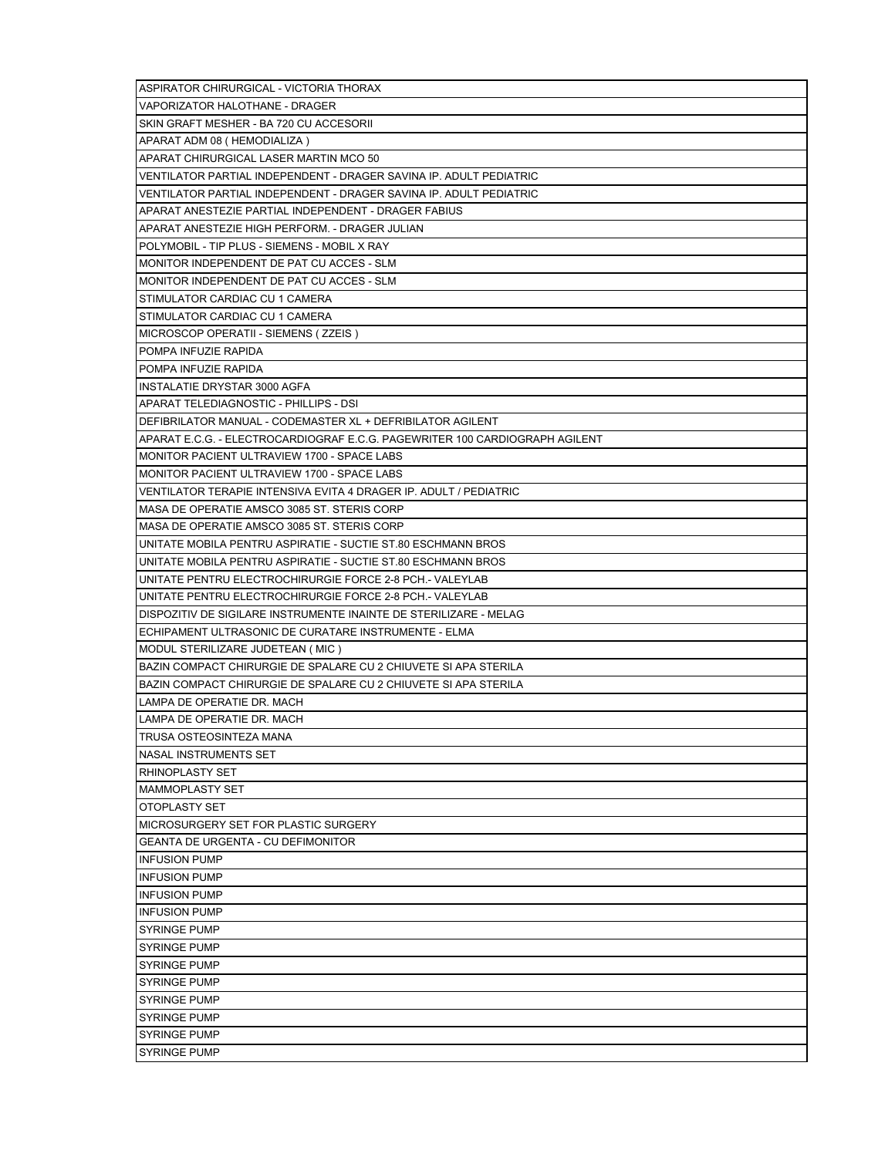| ASPIRATOR CHIRURGICAL - VICTORIA THORAX                                     |
|-----------------------------------------------------------------------------|
| VAPORIZATOR HALOTHANE - DRAGER                                              |
| SKIN GRAFT MESHER - BA 720 CU ACCESORII                                     |
| APARAT ADM 08 (HEMODIALIZA)                                                 |
| APARAT CHIRURGICAL LASER MARTIN MCO 50                                      |
| VENTILATOR PARTIAL INDEPENDENT - DRAGER SAVINA IP. ADULT PEDIATRIC          |
| VENTILATOR PARTIAL INDEPENDENT - DRAGER SAVINA IP. ADULT PEDIATRIC          |
| APARAT ANESTEZIE PARTIAL INDEPENDENT - DRAGER FABIUS                        |
| APARAT ANESTEZIE HIGH PERFORM. - DRAGER JULIAN                              |
| POLYMOBIL - TIP PLUS - SIEMENS - MOBIL X RAY                                |
| MONITOR INDEPENDENT DE PAT CU ACCES - SLM                                   |
| MONITOR INDEPENDENT DE PAT CU ACCES - SLM                                   |
| STIMULATOR CARDIAC CU 1 CAMERA                                              |
| STIMULATOR CARDIAC CU 1 CAMERA                                              |
| MICROSCOP OPERATII - SIEMENS (ZZEIS)                                        |
| POMPA INFUZIE RAPIDA                                                        |
| POMPA INFUZIE RAPIDA                                                        |
| INSTALATIE DRYSTAR 3000 AGFA                                                |
| APARAT TELEDIAGNOSTIC - PHILLIPS - DSI                                      |
| DEFIBRILATOR MANUAL - CODEMASTER XL + DEFRIBILATOR AGILENT                  |
| APARAT E.C.G. - ELECTROCARDIOGRAF E.C.G. PAGEWRITER 100 CARDIOGRAPH AGILENT |
| MONITOR PACIENT ULTRAVIEW 1700 - SPACE LABS                                 |
| MONITOR PACIENT ULTRAVIEW 1700 - SPACE LABS                                 |
| VENTILATOR TERAPIE INTENSIVA EVITA 4 DRAGER IP. ADULT / PEDIATRIC           |
| MASA DE OPERATIE AMSCO 3085 ST. STERIS CORP                                 |
| MASA DE OPERATIE AMSCO 3085 ST. STERIS CORP                                 |
| UNITATE MOBILA PENTRU ASPIRATIE - SUCTIE ST.80 ESCHMANN BROS                |
| UNITATE MOBILA PENTRU ASPIRATIE - SUCTIE ST.80 ESCHMANN BROS                |
| UNITATE PENTRU ELECTROCHIRURGIE FORCE 2-8 PCH.- VALEYLAB                    |
| UNITATE PENTRU ELECTROCHIRURGIE FORCE 2-8 PCH.- VALEYLAB                    |
| DISPOZITIV DE SIGILARE INSTRUMENTE INAINTE DE STERILIZARE - MELAG           |
| ECHIPAMENT ULTRASONIC DE CURATARE INSTRUMENTE - ELMA                        |
| MODUL STERILIZARE JUDETEAN (MIC)                                            |
| BAZIN COMPACT CHIRURGIE DE SPALARE CU 2 CHIUVETE SI APA STERILA             |
| BAZIN COMPACT CHIRURGIE DE SPALARE CU 2 CHIUVETE SI APA STERILA             |
| LAMPA DE OPERATIE DR. MACH                                                  |
| LAMPA DE OPERATIE DR. MACH                                                  |
| TRUSA OSTEOSINTEZA MANA                                                     |
| NASAL INSTRUMENTS SET                                                       |
| <b>RHINOPLASTY SET</b>                                                      |
| <b>MAMMOPLASTY SET</b>                                                      |
| OTOPLASTY SET                                                               |
| MICROSURGERY SET FOR PLASTIC SURGERY                                        |
| <b>GEANTA DE URGENTA - CU DEFIMONITOR</b>                                   |
| <b>INFUSION PUMP</b>                                                        |
| <b>INFUSION PUMP</b>                                                        |
| <b>INFUSION PUMP</b>                                                        |
| <b>INFUSION PUMP</b>                                                        |
|                                                                             |
| <b>SYRINGE PUMP</b>                                                         |
| <b>SYRINGE PUMP</b>                                                         |
| <b>SYRINGE PUMP</b>                                                         |
| <b>SYRINGE PUMP</b>                                                         |
| <b>SYRINGE PUMP</b>                                                         |
| <b>SYRINGE PUMP</b>                                                         |
| <b>SYRINGE PUMP</b>                                                         |
| <b>SYRINGE PUMP</b>                                                         |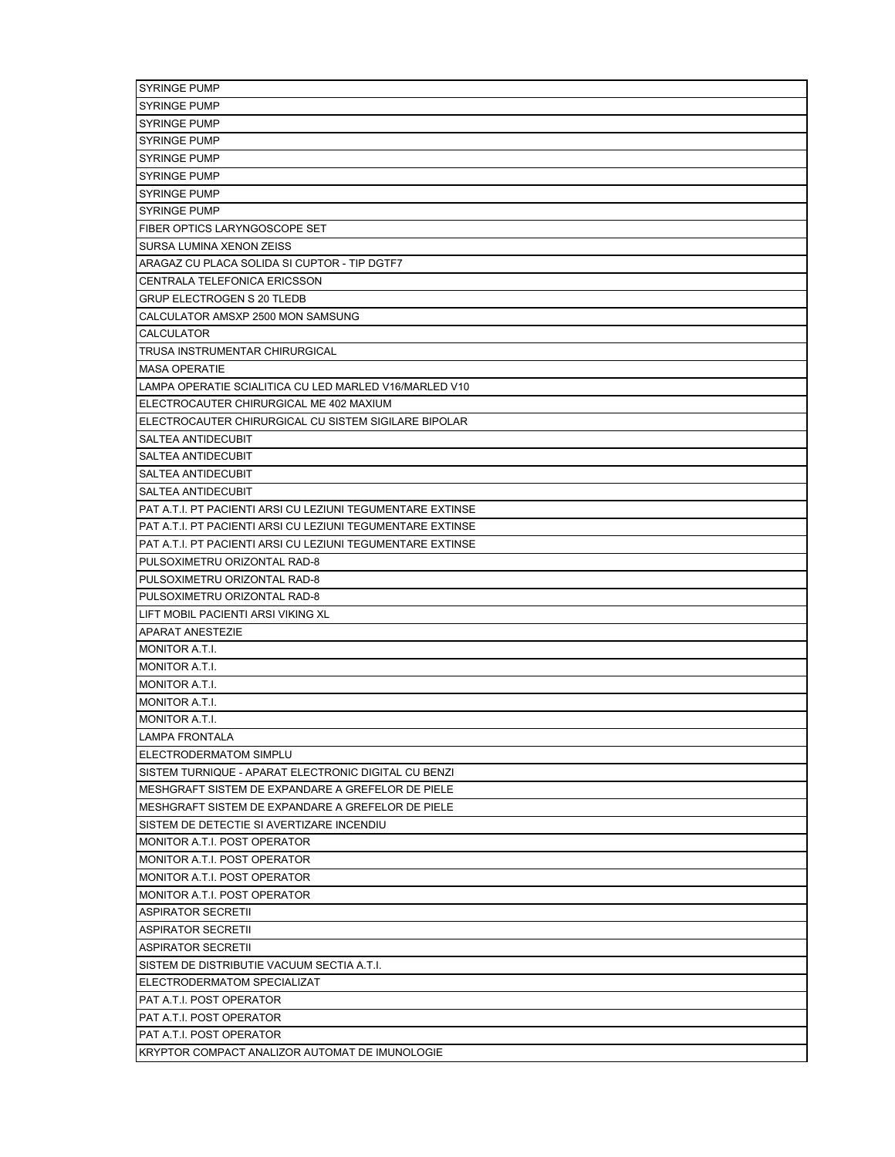| <b>SYRINGE PUMP</b>                                        |
|------------------------------------------------------------|
| <b>SYRINGE PUMP</b>                                        |
| <b>SYRINGE PUMP</b>                                        |
| <b>SYRINGE PUMP</b>                                        |
| <b>SYRINGE PUMP</b>                                        |
| <b>SYRINGE PUMP</b>                                        |
| <b>SYRINGE PUMP</b>                                        |
| <b>SYRINGE PUMP</b>                                        |
| FIBER OPTICS LARYNGOSCOPE SET                              |
| SURSA LUMINA XENON ZEISS                                   |
| ARAGAZ CU PLACA SOLIDA SI CUPTOR - TIP DGTF7               |
| CENTRALA TELEFONICA ERICSSON                               |
| <b>GRUP ELECTROGEN S 20 TLEDB</b>                          |
| CALCULATOR AMSXP 2500 MON SAMSUNG                          |
| <b>CALCULATOR</b>                                          |
| TRUSA INSTRUMENTAR CHIRURGICAL                             |
| <b>MASA OPERATIE</b>                                       |
| LAMPA OPERATIE SCIALITICA CU LED MARLED V16/MARLED V10     |
| ELECTROCAUTER CHIRURGICAL ME 402 MAXIUM                    |
| ELECTROCAUTER CHIRURGICAL CU SISTEM SIGILARE BIPOLAR       |
| <b>SALTEA ANTIDECUBIT</b>                                  |
| SALTEA ANTIDECUBIT                                         |
| SALTEA ANTIDECUBIT                                         |
| <b>SALTEA ANTIDECUBIT</b>                                  |
| PAT A.T.I. PT PACIENTI ARSI CU LEZIUNI TEGUMENTARE EXTINSE |
| PAT A.T.I. PT PACIENTI ARSI CU LEZIUNI TEGUMENTARE EXTINSE |
| PAT A.T.I. PT PACIENTI ARSI CU LEZIUNI TEGUMENTARE EXTINSE |
| PULSOXIMETRU ORIZONTAL RAD-8                               |
| PULSOXIMETRU ORIZONTAL RAD-8                               |
| PULSOXIMETRU ORIZONTAL RAD-8                               |
| LIFT MOBIL PACIENTI ARSI VIKING XL                         |
| <b>APARAT ANESTEZIE</b>                                    |
| MONITOR A.T.I.                                             |
| MONITOR A.T.I.                                             |
| MONITOR A.T.I.                                             |
| MONITOR A.T.I.                                             |
| MONITOR A.T.I.                                             |
| LAMPA FRONTALA                                             |
| <b>ELECTRODERMATOM SIMPLU</b>                              |
| SISTEM TURNIQUE - APARAT ELECTRONIC DIGITAL CU BENZI       |
| MESHGRAFT SISTEM DE EXPANDARE A GREFELOR DE PIELE          |
| MESHGRAFT SISTEM DE EXPANDARE A GREFELOR DE PIELE          |
| SISTEM DE DETECTIE SI AVERTIZARE INCENDIU                  |
| MONITOR A.T.I. POST OPERATOR                               |
| MONITOR A.T.I. POST OPERATOR                               |
| MONITOR A.T.I. POST OPERATOR                               |
| MONITOR A.T.I. POST OPERATOR                               |
| <b>ASPIRATOR SECRETII</b>                                  |
| <b>ASPIRATOR SECRETII</b>                                  |
| <b>ASPIRATOR SECRETII</b>                                  |
| SISTEM DE DISTRIBUTIE VACUUM SECTIA A.T.I.                 |
| <b>ELECTRODERMATOM SPECIALIZAT</b>                         |
| PAT A.T.I. POST OPERATOR                                   |
| PAT A.T.I. POST OPERATOR                                   |
| PAT A.T.I. POST OPERATOR                                   |
| KRYPTOR COMPACT ANALIZOR AUTOMAT DE IMUNOLOGIE             |
|                                                            |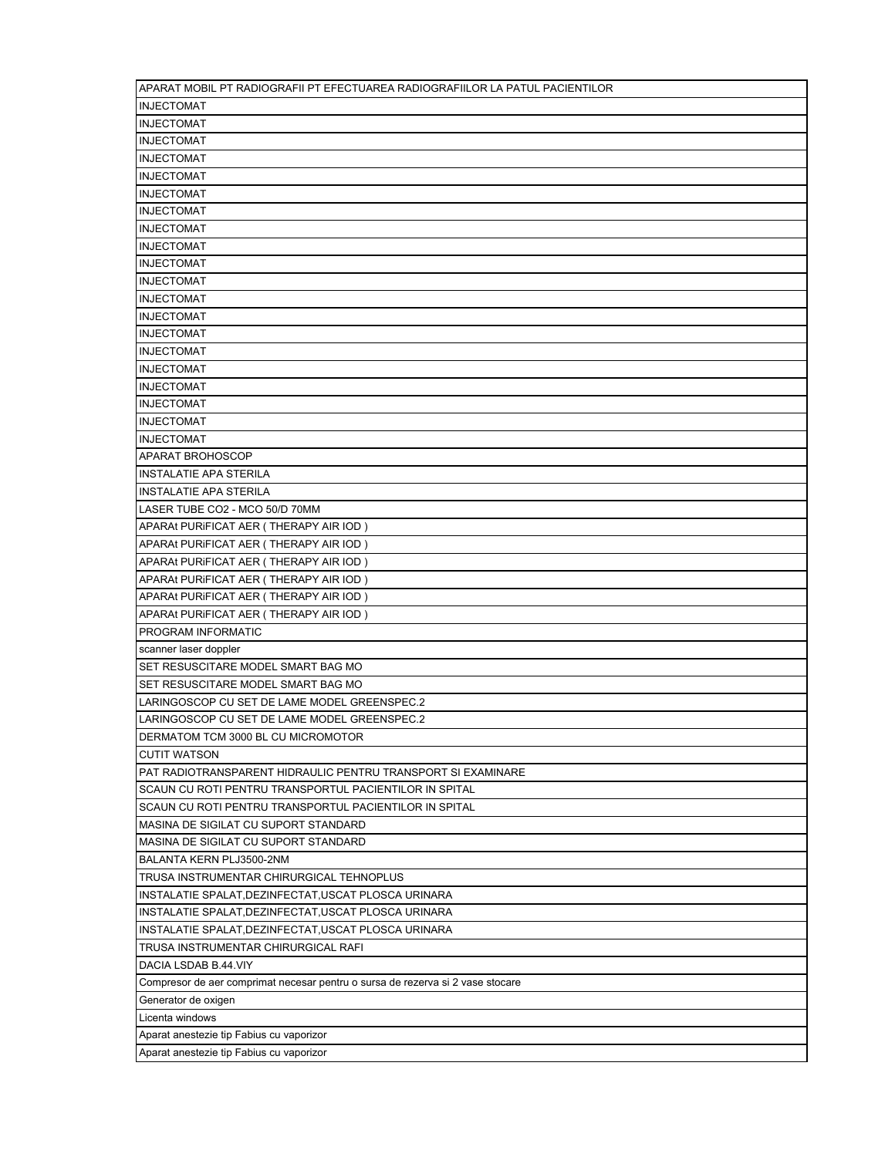| APARAT MOBIL PT RADIOGRAFII PT EFECTUAREA RADIOGRAFIILOR LA PATUL PACIENTILOR  |
|--------------------------------------------------------------------------------|
| <b>INJECTOMAT</b>                                                              |
| <b>INJECTOMAT</b>                                                              |
| <b>INJECTOMAT</b>                                                              |
| <b>INJECTOMAT</b>                                                              |
| <b>INJECTOMAT</b>                                                              |
| <b>INJECTOMAT</b>                                                              |
| <b>INJECTOMAT</b>                                                              |
| <b>INJECTOMAT</b>                                                              |
| <b>INJECTOMAT</b>                                                              |
| <b>INJECTOMAT</b>                                                              |
| <b>INJECTOMAT</b>                                                              |
| <b>INJECTOMAT</b>                                                              |
| <b>INJECTOMAT</b>                                                              |
| <b>INJECTOMAT</b>                                                              |
| <b>INJECTOMAT</b>                                                              |
| <b>INJECTOMAT</b>                                                              |
| <b>INJECTOMAT</b>                                                              |
| <b>INJECTOMAT</b>                                                              |
|                                                                                |
| <b>INJECTOMAT</b>                                                              |
| <b>INJECTOMAT</b>                                                              |
| <b>APARAT BROHOSCOP</b>                                                        |
| <b>INSTALATIE APA STERILA</b>                                                  |
| <b>INSTALATIE APA STERILA</b>                                                  |
| LASER TUBE CO2 - MCO 50/D 70MM                                                 |
| APARAt PURIFICAT AER (THERAPY AIR IOD)                                         |
| APARAt PURIFICAT AER (THERAPY AIR IOD)                                         |
| APARAt PURIFICAT AER (THERAPY AIR IOD)                                         |
| APARAt PURIFICAT AER (THERAPY AIR IOD)                                         |
| APARAt PURIFICAT AER (THERAPY AIR IOD)                                         |
| APARAt PURIFICAT AER (THERAPY AIR IOD)                                         |
| PROGRAM INFORMATIC                                                             |
| scanner laser doppler                                                          |
| SET RESUSCITARE MODEL SMART BAG MO                                             |
| SET RESUSCITARE MODEL SMART BAG MO                                             |
| LARINGOSCOP CU SET DE LAME MODEL GREENSPEC.2                                   |
| LARINGOSCOP CU SET DE LAME MODEL GREENSPEC.2                                   |
| DERMATOM TCM 3000 BL CU MICROMOTOR                                             |
| <b>CUTIT WATSON</b>                                                            |
| PAT RADIOTRANSPARENT HIDRAULIC PENTRU TRANSPORT SI EXAMINARE                   |
| SCAUN CU ROTI PENTRU TRANSPORTUL PACIENTILOR IN SPITAL                         |
| SCAUN CU ROTI PENTRU TRANSPORTUL PACIENTILOR IN SPITAL                         |
| MASINA DE SIGILAT CU SUPORT STANDARD                                           |
| MASINA DE SIGILAT CU SUPORT STANDARD                                           |
| BALANTA KERN PLJ3500-2NM                                                       |
| TRUSA INSTRUMENTAR CHIRURGICAL TEHNOPLUS                                       |
| INSTALATIE SPALAT, DEZINFECTAT, USCAT PLOSCA URINARA                           |
| INSTALATIE SPALAT, DEZINFECTAT, USCAT PLOSCA URINARA                           |
| INSTALATIE SPALAT, DEZINFECTAT, USCAT PLOSCA URINARA                           |
| TRUSA INSTRUMENTAR CHIRURGICAL RAFI                                            |
| DACIA LSDAB B.44.VIY                                                           |
| Compresor de aer comprimat necesar pentru o sursa de rezerva si 2 vase stocare |
| Generator de oxigen                                                            |
| Licenta windows                                                                |
| Aparat anestezie tip Fabius cu vaporizor                                       |
| Aparat anestezie tip Fabius cu vaporizor                                       |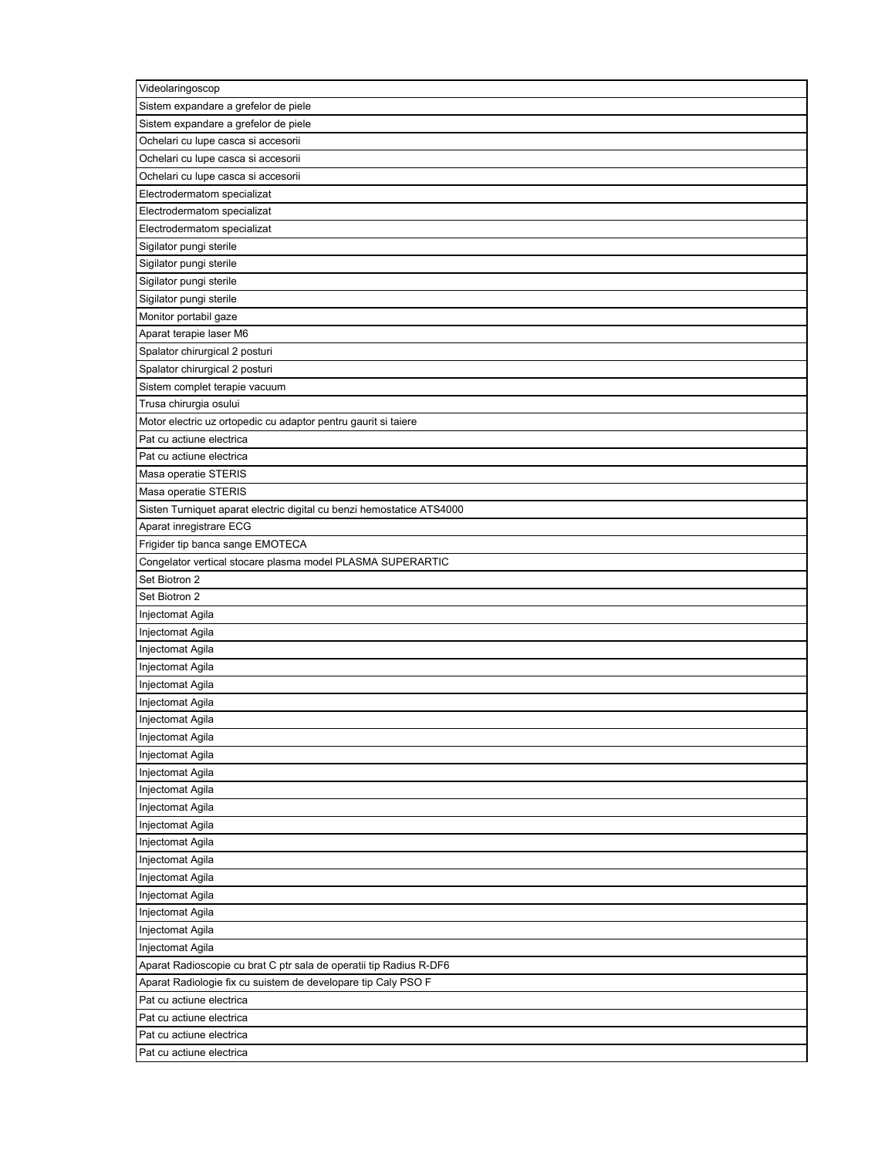| Videolaringoscop                                                      |
|-----------------------------------------------------------------------|
| Sistem expandare a grefelor de piele                                  |
| Sistem expandare a grefelor de piele                                  |
| Ochelari cu lupe casca si accesorii                                   |
| Ochelari cu lupe casca si accesorii                                   |
| Ochelari cu lupe casca si accesorii                                   |
| Electrodermatom specializat                                           |
| Electrodermatom specializat                                           |
| Electrodermatom specializat                                           |
| Sigilator pungi sterile                                               |
| Sigilator pungi sterile                                               |
| Sigilator pungi sterile                                               |
| Sigilator pungi sterile                                               |
| Monitor portabil gaze                                                 |
| Aparat terapie laser M6                                               |
| Spalator chirurgical 2 posturi                                        |
| Spalator chirurgical 2 posturi                                        |
| Sistem complet terapie vacuum                                         |
| Trusa chirurgia osului                                                |
| Motor electric uz ortopedic cu adaptor pentru gaurit si taiere        |
| Pat cu actiune electrica                                              |
| Pat cu actiune electrica                                              |
| Masa operatie STERIS                                                  |
| Masa operatie STERIS                                                  |
| Sisten Turniquet aparat electric digital cu benzi hemostatice ATS4000 |
| Aparat inregistrare ECG                                               |
| Frigider tip banca sange EMOTECA                                      |
| Congelator vertical stocare plasma model PLASMA SUPERARTIC            |
| Set Biotron 2                                                         |
| Set Biotron 2                                                         |
| Injectomat Agila                                                      |
| Injectomat Agila                                                      |
| Injectomat Agila                                                      |
| Injectomat Agila                                                      |
| Injectomat Agila                                                      |
| Injectomat Agila                                                      |
| Injectomat Agila                                                      |
| Injectomat Agila                                                      |
| Injectomat Agila                                                      |
| Injectomat Agila                                                      |
| Injectomat Agila                                                      |
| Injectomat Agila                                                      |
| Injectomat Agila                                                      |
| Injectomat Agila                                                      |
| Injectomat Agila                                                      |
| Injectomat Agila                                                      |
| Injectomat Agila                                                      |
| Injectomat Agila                                                      |
| Injectomat Agila                                                      |
| Injectomat Agila                                                      |
| Aparat Radioscopie cu brat C ptr sala de operatii tip Radius R-DF6    |
| Aparat Radiologie fix cu suistem de developare tip Caly PSO F         |
| Pat cu actiune electrica                                              |
| Pat cu actiune electrica                                              |
| Pat cu actiune electrica                                              |
| Pat cu actiune electrica                                              |
|                                                                       |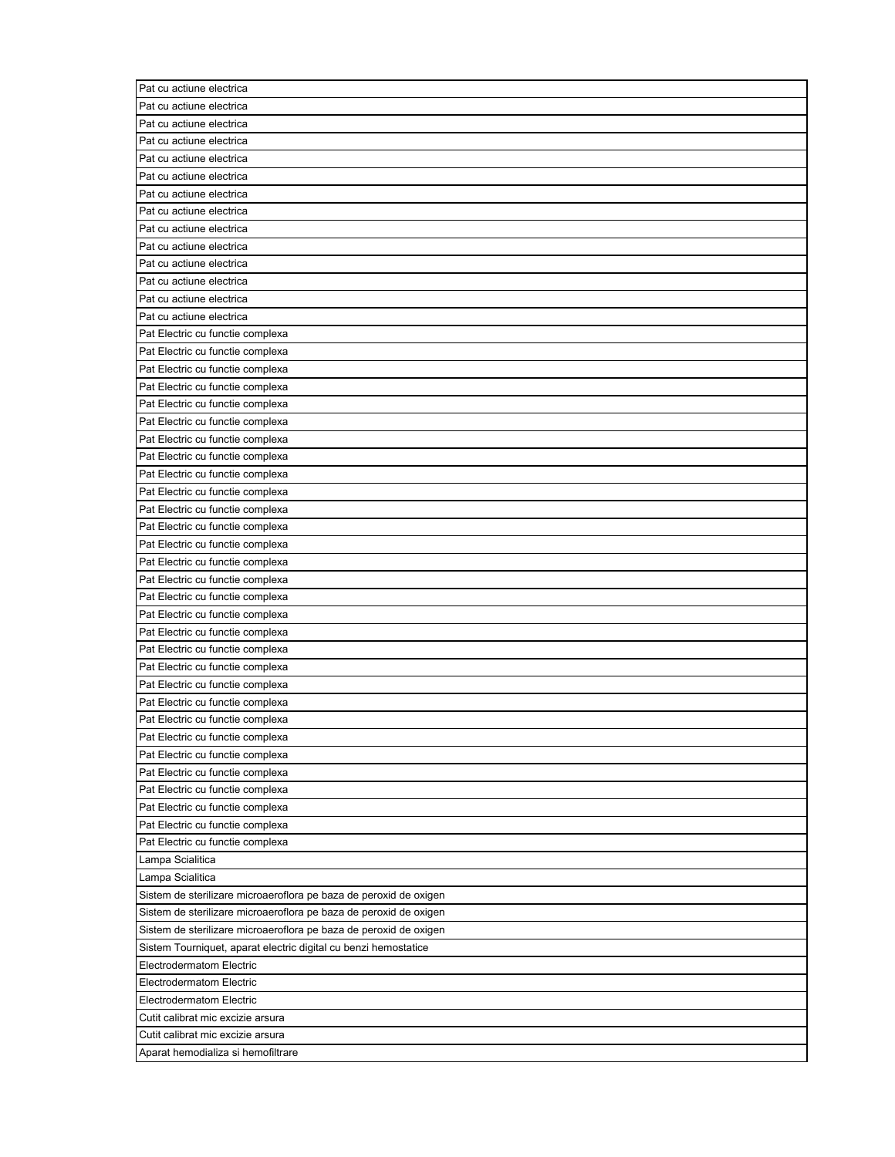| Pat cu actiune electrica                                          |
|-------------------------------------------------------------------|
| Pat cu actiune electrica                                          |
| Pat cu actiune electrica                                          |
| Pat cu actiune electrica                                          |
| Pat cu actiune electrica                                          |
| Pat cu actiune electrica                                          |
| Pat cu actiune electrica                                          |
| Pat cu actiune electrica                                          |
| Pat cu actiune electrica                                          |
| Pat cu actiune electrica                                          |
| Pat cu actiune electrica                                          |
| Pat cu actiune electrica                                          |
| Pat cu actiune electrica                                          |
| Pat cu actiune electrica                                          |
| Pat Electric cu functie complexa                                  |
| Pat Electric cu functie complexa                                  |
| Pat Electric cu functie complexa                                  |
| Pat Electric cu functie complexa                                  |
| Pat Electric cu functie complexa                                  |
| Pat Electric cu functie complexa                                  |
| Pat Electric cu functie complexa                                  |
| Pat Electric cu functie complexa                                  |
| Pat Electric cu functie complexa                                  |
| Pat Electric cu functie complexa                                  |
| Pat Electric cu functie complexa                                  |
| Pat Electric cu functie complexa                                  |
| Pat Electric cu functie complexa                                  |
| Pat Electric cu functie complexa                                  |
| Pat Electric cu functie complexa                                  |
| Pat Electric cu functie complexa                                  |
| Pat Electric cu functie complexa                                  |
| Pat Electric cu functie complexa                                  |
| Pat Electric cu functie complexa                                  |
| Pat Electric cu functie complexa                                  |
| Pat Electric cu functie complexa                                  |
| Pat Electric cu functie complexa                                  |
| Pat Electric cu functie complexa                                  |
| Pat Electric cu functie complexa                                  |
| Pat Electric cu functie complexa                                  |
| Pat Electric cu functie complexa                                  |
| Pat Electric cu functie complexa                                  |
| Pat Electric cu functie complexa                                  |
| Pat Electric cu functie complexa                                  |
| Pat Electric cu functie complexa                                  |
| Lampa Scialitica                                                  |
| Lampa Scialitica                                                  |
| Sistem de sterilizare microaeroflora pe baza de peroxid de oxigen |
| Sistem de sterilizare microaeroflora pe baza de peroxid de oxigen |
| Sistem de sterilizare microaeroflora pe baza de peroxid de oxigen |
| Sistem Tourniquet, aparat electric digital cu benzi hemostatice   |
| Electrodermatom Electric                                          |
| Electrodermatom Electric                                          |
| Electrodermatom Electric                                          |
| Cutit calibrat mic excizie arsura                                 |
| Cutit calibrat mic excizie arsura                                 |
| Aparat hemodializa si hemofiltrare                                |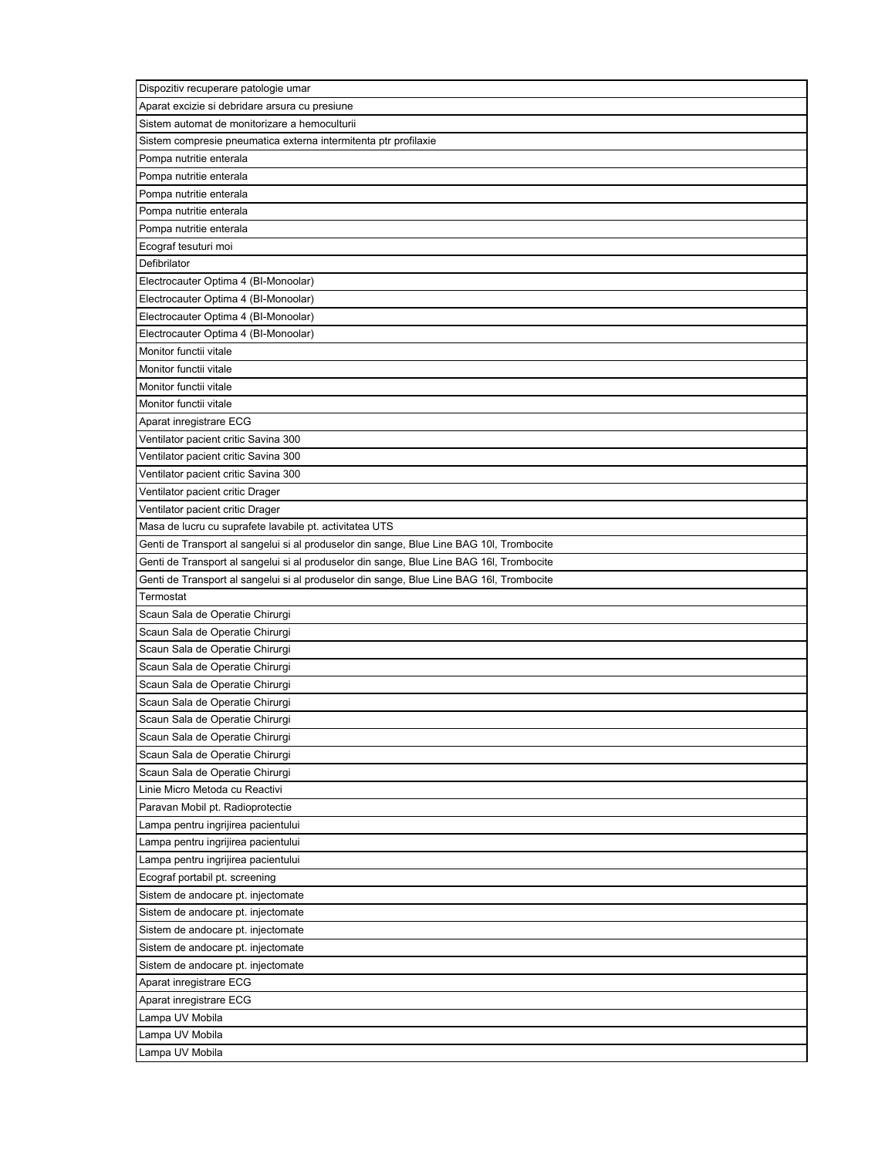| Dispozitiv recuperare patologie umar                                                     |
|------------------------------------------------------------------------------------------|
| Aparat excizie si debridare arsura cu presiune                                           |
| Sistem automat de monitorizare a hemoculturii                                            |
| Sistem compresie pneumatica externa intermitenta ptr profilaxie                          |
| Pompa nutritie enterala                                                                  |
| Pompa nutritie enterala                                                                  |
| Pompa nutritie enterala                                                                  |
| Pompa nutritie enterala                                                                  |
| Pompa nutritie enterala                                                                  |
| Ecograf tesuturi moi                                                                     |
| Defibrilator                                                                             |
| Electrocauter Optima 4 (BI-Monoolar)                                                     |
| Electrocauter Optima 4 (BI-Monoolar)                                                     |
| Electrocauter Optima 4 (BI-Monoolar)                                                     |
| Electrocauter Optima 4 (BI-Monoolar)                                                     |
| Monitor functii vitale                                                                   |
| Monitor functii vitale                                                                   |
| Monitor functii vitale                                                                   |
| Monitor functii vitale                                                                   |
| Aparat inregistrare ECG                                                                  |
| Ventilator pacient critic Savina 300                                                     |
| Ventilator pacient critic Savina 300                                                     |
| Ventilator pacient critic Savina 300                                                     |
| Ventilator pacient critic Drager                                                         |
| Ventilator pacient critic Drager                                                         |
| Masa de lucru cu suprafete lavabile pt. activitatea UTS                                  |
| Genti de Transport al sangelui si al produselor din sange, Blue Line BAG 10I, Trombocite |
| Genti de Transport al sangelui si al produselor din sange, Blue Line BAG 16I, Trombocite |
| Genti de Transport al sangelui si al produselor din sange, Blue Line BAG 16I, Trombocite |
| Termostat                                                                                |
| Scaun Sala de Operatie Chirurgi                                                          |
| Scaun Sala de Operatie Chirurgi                                                          |
| Scaun Sala de Operatie Chirurgi                                                          |
| Scaun Sala de Operatie Chirurgi                                                          |
| Scaun Sala de Operatie Chirurgi                                                          |
| Scaun Sala de Operatie Chirurgi                                                          |
|                                                                                          |
| Scaun Sala de Operatie Chirurgi                                                          |
| Scaun Sala de Operatie Chirurgi                                                          |
| Scaun Sala de Operatie Chirurgi                                                          |
| Scaun Sala de Operatie Chirurgi<br>Linie Micro Metoda cu Reactivi                        |
|                                                                                          |
| Paravan Mobil pt. Radioprotectie                                                         |
| Lampa pentru ingrijirea pacientului                                                      |
| Lampa pentru ingrijirea pacientului                                                      |
| Lampa pentru ingrijirea pacientului                                                      |
| Ecograf portabil pt. screening                                                           |
| Sistem de andocare pt. injectomate                                                       |
| Sistem de andocare pt. injectomate                                                       |
| Sistem de andocare pt. injectomate                                                       |
| Sistem de andocare pt. injectomate                                                       |
| Sistem de andocare pt. injectomate                                                       |
| Aparat inregistrare ECG                                                                  |
| Aparat inregistrare ECG                                                                  |
| Lampa UV Mobila                                                                          |
| Lampa UV Mobila                                                                          |
| Lampa UV Mobila                                                                          |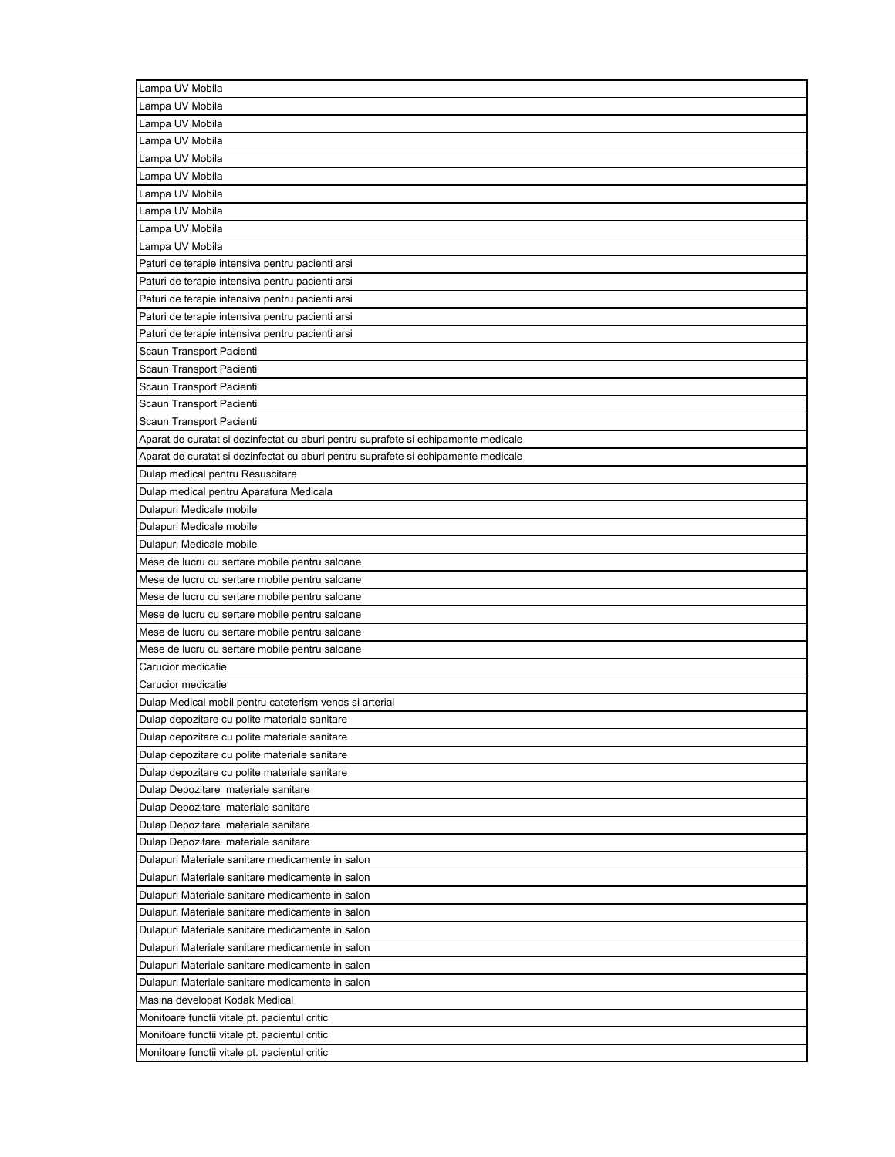| Lampa UV Mobila                                                                                      |
|------------------------------------------------------------------------------------------------------|
| Lampa UV Mobila                                                                                      |
| Lampa UV Mobila                                                                                      |
| Lampa UV Mobila                                                                                      |
| Lampa UV Mobila                                                                                      |
| Lampa UV Mobila                                                                                      |
| Lampa UV Mobila                                                                                      |
| Lampa UV Mobila                                                                                      |
| Lampa UV Mobila                                                                                      |
| Lampa UV Mobila                                                                                      |
| Paturi de terapie intensiva pentru pacienti arsi                                                     |
| Paturi de terapie intensiva pentru pacienti arsi                                                     |
| Paturi de terapie intensiva pentru pacienti arsi                                                     |
| Paturi de terapie intensiva pentru pacienti arsi                                                     |
| Paturi de terapie intensiva pentru pacienti arsi                                                     |
| Scaun Transport Pacienti                                                                             |
| Scaun Transport Pacienti                                                                             |
| Scaun Transport Pacienti                                                                             |
| Scaun Transport Pacienti                                                                             |
| Scaun Transport Pacienti                                                                             |
| Aparat de curatat si dezinfectat cu aburi pentru suprafete si echipamente medicale                   |
| Aparat de curatat si dezinfectat cu aburi pentru suprafete si echipamente medicale                   |
| Dulap medical pentru Resuscitare                                                                     |
| Dulap medical pentru Aparatura Medicala                                                              |
| Dulapuri Medicale mobile                                                                             |
| Dulapuri Medicale mobile                                                                             |
| Dulapuri Medicale mobile                                                                             |
| Mese de lucru cu sertare mobile pentru saloane                                                       |
| Mese de lucru cu sertare mobile pentru saloane                                                       |
| Mese de lucru cu sertare mobile pentru saloane                                                       |
| Mese de lucru cu sertare mobile pentru saloane                                                       |
| Mese de lucru cu sertare mobile pentru saloane                                                       |
| Mese de lucru cu sertare mobile pentru saloane                                                       |
| Carucior medicatie                                                                                   |
| Carucior medicatie                                                                                   |
| Dulap Medical mobil pentru cateterism venos si arterial                                              |
| Dulap depozitare cu polite materiale sanitare                                                        |
| Dulap depozitare cu polite materiale sanitare                                                        |
| Dulap depozitare cu polite materiale sanitare                                                        |
| Dulap depozitare cu polite materiale sanitare                                                        |
| Dulap Depozitare materiale sanitare                                                                  |
| Dulap Depozitare materiale sanitare                                                                  |
| Dulap Depozitare materiale sanitare                                                                  |
|                                                                                                      |
| Dulap Depozitare materiale sanitare                                                                  |
| Dulapuri Materiale sanitare medicamente in salon                                                     |
| Dulapuri Materiale sanitare medicamente in salon                                                     |
| Dulapuri Materiale sanitare medicamente in salon<br>Dulapuri Materiale sanitare medicamente in salon |
| Dulapuri Materiale sanitare medicamente in salon                                                     |
| Dulapuri Materiale sanitare medicamente in salon                                                     |
| Dulapuri Materiale sanitare medicamente in salon                                                     |
| Dulapuri Materiale sanitare medicamente in salon                                                     |
| Masina developat Kodak Medical                                                                       |
| Monitoare functii vitale pt. pacientul critic                                                        |
| Monitoare functii vitale pt. pacientul critic                                                        |
| Monitoare functii vitale pt. pacientul critic                                                        |
|                                                                                                      |